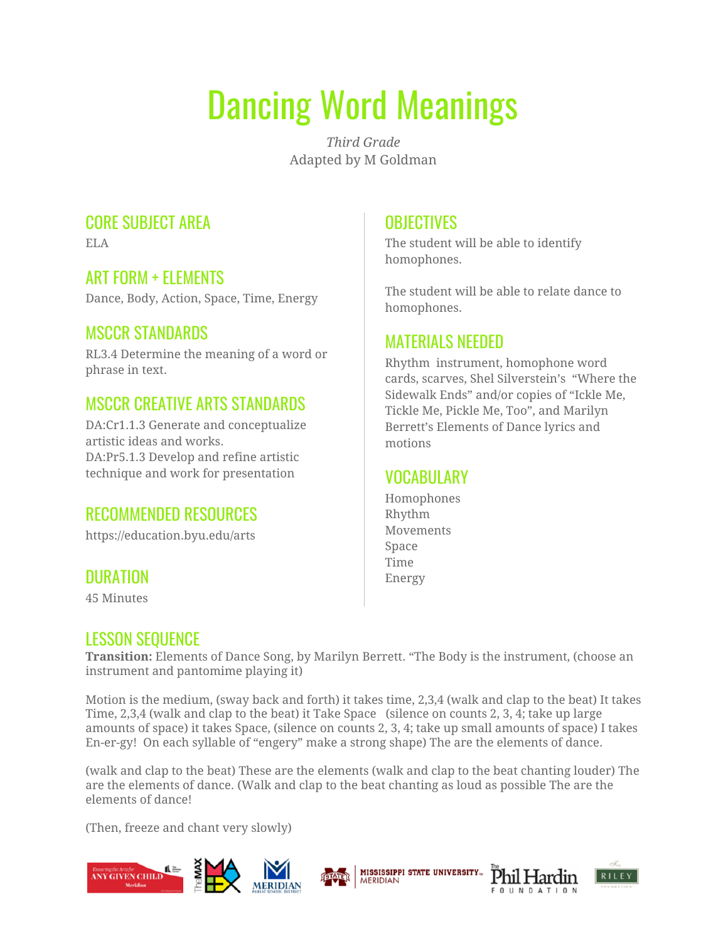# Dancing Word Meanings

*Third Grade* Adapted by M Goldman

## CORE SUBJECT AREA

ELA

#### ART FORM + ELEMENTS

Dance, Body, Action, Space, Time, Energy

#### MSCCR STANDARDS

RL3.4 Determine the meaning of a word or phrase in text.

## MSCCR CREATIVE ARTS STANDARDS

DA:Cr1.1.3 Generate and conceptualize artistic ideas and works. DA:Pr5.1.3 Develop and refine artistic technique and work for presentation

## RECOMMENDED RESOURCES

https://education.byu.edu/arts

## DURATION

45 Minutes

# **OBJECTIVES**

The student will be able to identify homophones.

The student will be able to relate dance to homophones.

#### MATERIALS NEEDED

Rhythm instrument, homophone word cards, scarves, Shel Silverstein's "Where the Sidewalk Ends" and/or copies of "Ickle Me, Tickle Me, Pickle Me, Too", and Marilyn Berrett's Elements of Dance lyrics and motions

# VOCABULARY

Homophones Rhythm Movements Space Time Energy

## LESSON SEQUENCE

**Transition:** Elements of Dance Song, by Marilyn Berrett. "The Body is the instrument, (choose an instrument and pantomime playing it)

Motion is the medium, (sway back and forth) it takes time, 2,3,4 (walk and clap to the beat) It takes Time, 2,3,4 (walk and clap to the beat) it Take Space (silence on counts 2, 3, 4; take up large amounts of space) it takes Space, (silence on counts 2, 3, 4; take up small amounts of space) I takes En-er-gy! On each syllable of "engery" make a strong shape) The are the elements of dance.

(walk and clap to the beat) These are the elements (walk and clap to the beat chanting louder) The are the elements of dance. (Walk and clap to the beat chanting as loud as possible The are the elements of dance!

(Then, freeze and chant very slowly)